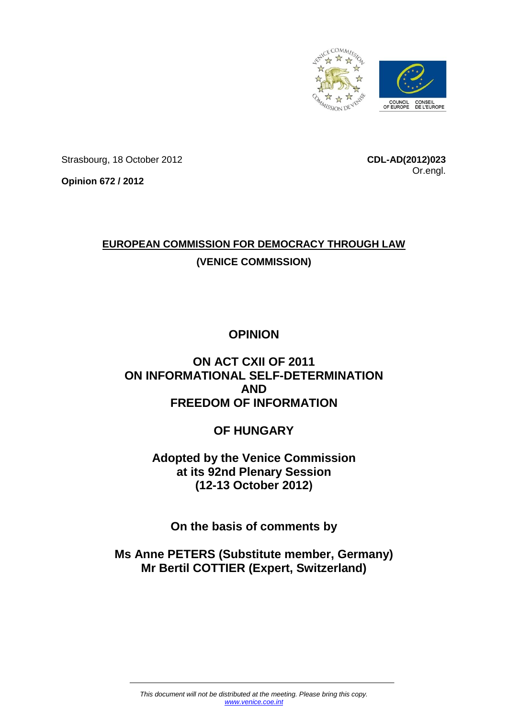

Strasbourg, 18 October 2012

**CDL-AD(2012)023** Or.engl.

**Opinion 672 / 2012**

# **EUROPEAN COMMISSION FOR DEMOCRACY THROUGH LAW (VENICE COMMISSION)**

# **OPINION**

# **ON ACT CXII OF 2011 ON INFORMATIONAL SELF-DETERMINATION AND FREEDOM OF INFORMATION**

# **OF HUNGARY**

**Adopted by the Venice Commission at its 92nd Plenary Session (12-13 October 2012)**

**On the basis of comments by**

**Ms Anne PETERS (Substitute member, Germany) Mr Bertil COTTIER (Expert, Switzerland)**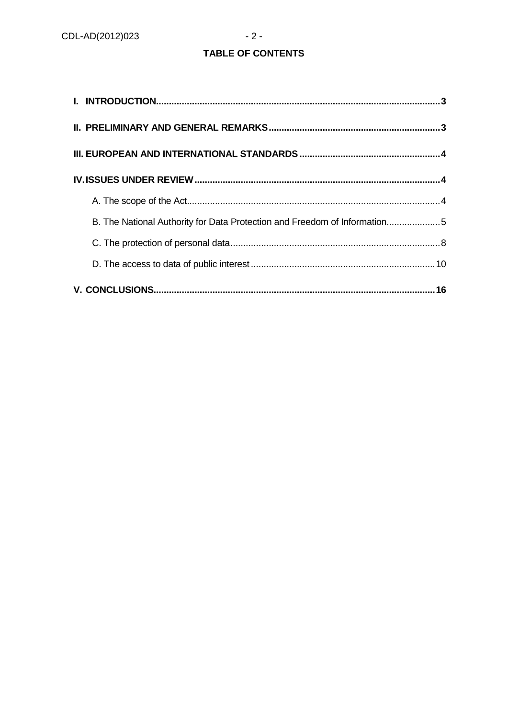# TABLE OF CONTENTS

| B. The National Authority for Data Protection and Freedom of Information5 |  |
|---------------------------------------------------------------------------|--|
|                                                                           |  |
|                                                                           |  |
|                                                                           |  |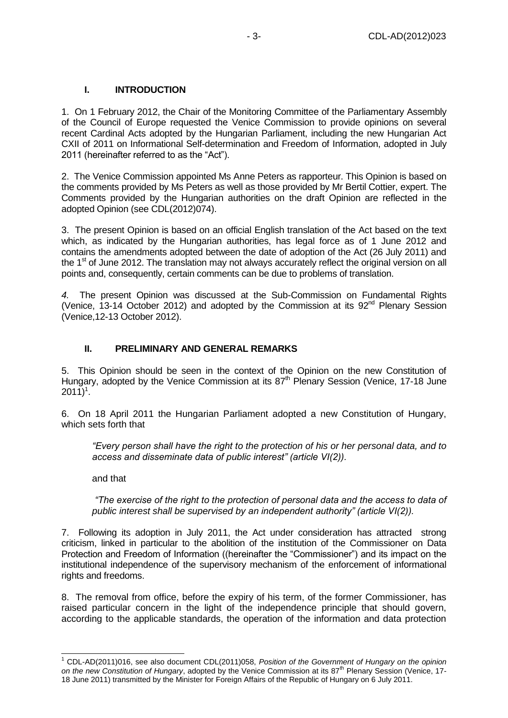# **I. INTRODUCTION**

<span id="page-2-0"></span>1. On 1 February 2012, the Chair of the Monitoring Committee of the Parliamentary Assembly of the Council of Europe requested the Venice Commission to provide opinions on several recent Cardinal Acts adopted by the Hungarian Parliament, including the new Hungarian Act CXII of 2011 on Informational Self-determination and Freedom of Information, adopted in July 2011 (hereinafter referred to as the "Act").

2. The Venice Commission appointed Ms Anne Peters as rapporteur. This Opinion is based on the comments provided by Ms Peters as well as those provided by Mr Bertil Cottier, expert. The Comments provided by the Hungarian authorities on the draft Opinion are reflected in the adopted Opinion (see CDL(2012)074).

3. The present Opinion is based on an official English translation of the Act based on the text which, as indicated by the Hungarian authorities, has legal force as of 1 June 2012 and contains the amendments adopted between the date of adoption of the Act (26 July 2011) and the 1<sup>st</sup> of June 2012. The translation may not always accurately reflect the original version on all points and, consequently, certain comments can be due to problems of translation.

*4.* The present Opinion was discussed at the Sub-Commission on Fundamental Rights (Venice, 13-14 October 2012) and adopted by the Commission at its  $92<sup>nd</sup>$  Plenary Session (Venice,12-13 October 2012).

#### **II. PRELIMINARY AND GENERAL REMARKS**

<span id="page-2-1"></span>5. This Opinion should be seen in the context of the Opinion on the new Constitution of Hungary, adopted by the Venice Commission at its  $87<sup>th</sup>$  Plenary Session (Venice, 17-18 June  $2011)^{1}$ .

6. On 18 April 2011 the Hungarian Parliament adopted a new Constitution of Hungary, which sets forth that

*"Every person shall have the right to the protection of his or her personal data, and to access and disseminate data of public interest" (article VI(2)).* 

and that

 $\overline{a}$ 

*"The exercise of the right to the protection of personal data and the access to data of public interest shall be supervised by an independent authority" (article VI(2)).*

7. Following its adoption in July 2011, the Act under consideration has attracted strong criticism, linked in particular to the abolition of the institution of the Commissioner on Data Protection and Freedom of Information ((hereinafter the "Commissioner") and its impact on the institutional independence of the supervisory mechanism of the enforcement of informational rights and freedoms.

8. The removal from office, before the expiry of his term, of the former Commissioner, has raised particular concern in the light of the independence principle that should govern, according to the applicable standards, the operation of the information and data protection

<sup>1</sup> CDL-AD(2011)016, see also document CDL(2011)058, *Position of the Government of Hungary on the opinion*  on the new Constitution of Hungary, adopted by the Venice Commission at its 87<sup>th</sup> Plenary Session (Venice, 17-18 June 2011) transmitted by the Minister for Foreign Affairs of the Republic of Hungary on 6 July 2011.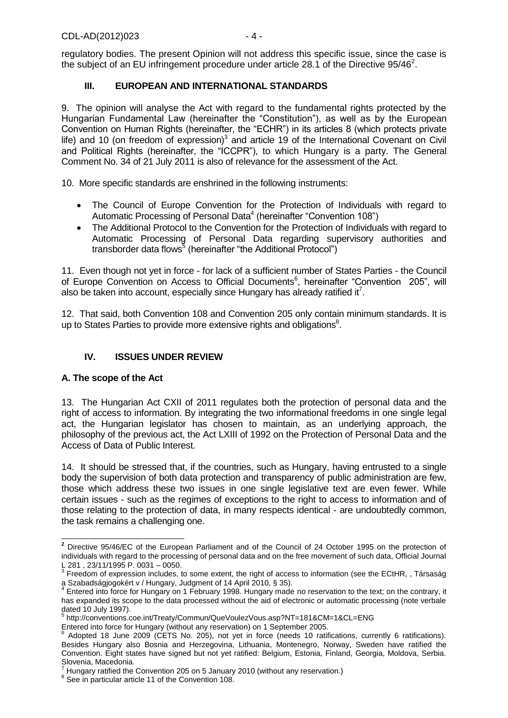regulatory bodies. The present Opinion will not address this specific issue, since the case is the subject of an EU infringement procedure under article 28.1 of the Directive 95/46<sup>2</sup>.

# **III. EUROPEAN AND INTERNATIONAL STANDARDS**

<span id="page-3-0"></span>9. The opinion will analyse the Act with regard to the fundamental rights protected by the Hungarian Fundamental Law (hereinafter the "Constitution"), as well as by the European Convention on Human Rights (hereinafter, the "ECHR") in its articles 8 (which protects private life) and 10 (on freedom of expression) $3$  and article 19 of the International Covenant on Civil and Political Rights (hereinafter, the "ICCPR"), to which Hungary is a party. The General Comment No. 34 of 21 July 2011 is also of relevance for the assessment of the Act.

10. More specific standards are enshrined in the following instruments:

- The Council of Europe Convention for the Protection of Individuals with regard to Automatic Processing of Personal Data<sup>4</sup> (hereinafter "Convention 108")
- The Additional Protocol to the Convention for the Protection of Individuals with regard to Automatic Processing of Personal Data regarding supervisory authorities and transborder data flows<sup>5</sup> (hereinafter "the Additional Protocol")

11. Even though not yet in force - for lack of a sufficient number of States Parties - the Council of Europe Convention on Access to Official Documents<sup>6</sup>, hereinafter "Convention 205", will also be taken into account, especially since Hungary has already ratified it<sup>7</sup>.

12. That said, both Convention 108 and Convention 205 only contain minimum standards. It is up to States Parties to provide more extensive rights and obligations $8$ .

## **IV. ISSUES UNDER REVIEW**

#### <span id="page-3-2"></span><span id="page-3-1"></span>**A. The scope of the Act**

13. The Hungarian Act CXII of 2011 regulates both the protection of personal data and the right of access to information. By integrating the two informational freedoms in one single legal act, the Hungarian legislator has chosen to maintain, as an underlying approach, the philosophy of the previous act, the Act LXIII of 1992 on the Protection of Personal Data and the Access of Data of Public Interest.

14. It should be stressed that, if the countries, such as Hungary, having entrusted to a single body the supervision of both data protection and transparency of public administration are few, those which address these two issues in one single legislative text are even fewer. While certain issues - such as the regimes of exceptions to the right to access to information and of those relating to the protection of data, in many respects identical - are undoubtedly common, the task remains a challenging one.

 $\overline{a}$ **<sup>2</sup>** Directive 95/46/EC of the European Parliament and of the Council of 24 October 1995 on the protection of individuals with regard to the processing of personal data and on the free movement of such data, Official Journal L 281 , 23/11/1995 P. 0031 – 0050.

 $3$  Freedom of expression includes, to some extent, the right of access to information (see the ECtHR, , Társaság a Szabadságjogokért v / Hungary, Judgment of 14 April 2010, § 35). 4

Entered into force for Hungary on 1 February 1998. Hungary made no reservation to the text; on the contrary, it has expanded its scope to the data processed without the aid of electronic or automatic processing (note verbale dated 10 July 1997).<br><sup>5</sup> http://conventions.coe.int/Treaty/Commun/QueVoulezVous.asp?NT=181&CM=1&CL=ENG

Entered into force for Hungary (without any reservation) on 1 September 2005.<br><sup>6</sup> Adopted 18, June 2000 (CETS No. 205), pet vet in force (poods 10 ratifi

Adopted 18 June 2009 (CETS No. 205), not yet in force (needs 10 ratifications, currently 6 ratifications). Besides Hungary also Bosnia and Herzegovina, Lithuania, Montenegro, Norway, Sweden have ratified the Convention. Eight states have signed but not yet ratified: Belgium, Estonia, Finland, Georgia, Moldova, Serbia. Slovenia, Macedonia.

Hungary ratified the Convention 205 on 5 January 2010 (without any reservation.)

<sup>&</sup>lt;sup>8</sup> See in particular article 11 of the Convention 108.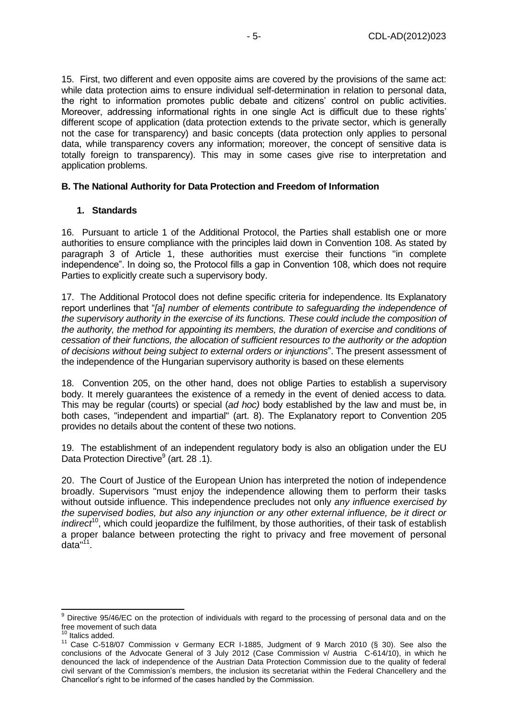15. First, two different and even opposite aims are covered by the provisions of the same act: while data protection aims to ensure individual self-determination in relation to personal data, the right to information promotes public debate and citizens' control on public activities. Moreover, addressing informational rights in one single Act is difficult due to these rights' different scope of application (data protection extends to the private sector, which is generally not the case for transparency) and basic concepts (data protection only applies to personal data, while transparency covers any information; moreover, the concept of sensitive data is totally foreign to transparency). This may in some cases give rise to interpretation and application problems.

#### <span id="page-4-0"></span>**B. The National Authority for Data Protection and Freedom of Information**

#### **1. Standards**

16. Pursuant to article 1 of the Additional Protocol, the Parties shall establish one or more authorities to ensure compliance with the principles laid down in Convention 108. As stated by paragraph 3 of Article 1, these authorities must exercise their functions "in complete independence". In doing so, the Protocol fills a gap in Convention 108, which does not require Parties to explicitly create such a supervisory body.

17. The Additional Protocol does not define specific criteria for independence. Its Explanatory report underlines that "*[a] number of elements contribute to safeguarding the independence of the supervisory authority in the exercise of its functions. These could include the composition of the authority, the method for appointing its members, the duration of exercise and conditions of cessation of their functions, the allocation of sufficient resources to the authority or the adoption of decisions without being subject to external orders or injunctions*". The present assessment of the independence of the Hungarian supervisory authority is based on these elements

18. Convention 205, on the other hand, does not oblige Parties to establish a supervisory body. It merely guarantees the existence of a remedy in the event of denied access to data. This may be regular (courts) or special (*ad hoc)* body established by the law and must be, in both cases, "independent and impartial" (art. 8). The Explanatory report to Convention 205 provides no details about the content of these two notions.

19. The establishment of an independent regulatory body is also an obligation under the EU Data Protection Directive<sup>9</sup> (art. 28 .1).

20. The Court of Justice of the European Union has interpreted the notion of independence broadly. Supervisors "must enjoy the independence allowing them to perform their tasks without outside influence. This independence precludes not only *any influence exercised by the supervised bodies, but also any injunction or any other external influence, be it direct or indirect*<sup>10</sup>, which could jeopardize the fulfilment, by those authorities, of their task of establish a proper balance between protecting the right to privacy and free movement of personal data"<sup>11</sup>.

-

 $9$  Directive 95/46/EC on the protection of individuals with regard to the processing of personal data and on the free movement of such data

<sup>&</sup>lt;sup>10</sup> Italics added.

<sup>11</sup> Case C-518/07 Commission v Germany ECR I-1885, Judgment of 9 March 2010 (§ 30). See also the conclusions of the Advocate General of 3 July 2012 (Case Commission v/ Austria C-614/10), in which he denounced the lack of independence of the Austrian Data Protection Commission due to the quality of federal civil servant of the Commission's members, the inclusion its secretariat within the Federal Chancellery and the Chancellor's right to be informed of the cases handled by the Commission.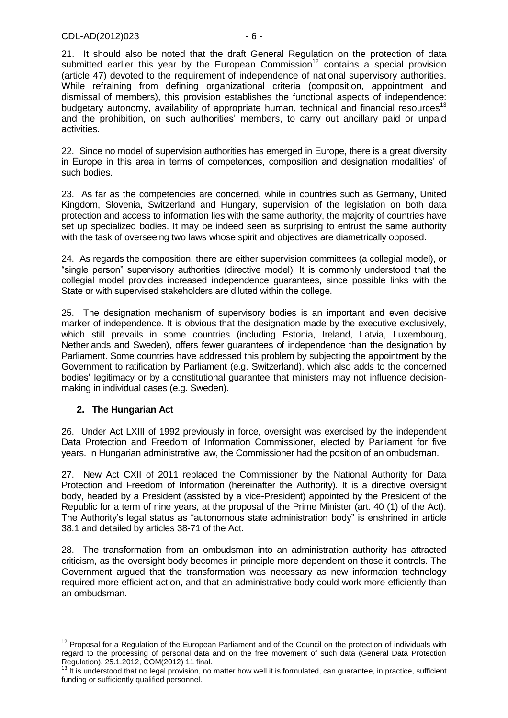21. It should also be noted that the draft General Regulation on the protection of data submitted earlier this year by the European Commission<sup>12</sup> contains a special provision (article 47) devoted to the requirement of independence of national supervisory authorities. While refraining from defining organizational criteria (composition, appointment and dismissal of members), this provision establishes the functional aspects of independence: budgetary autonomy, availability of appropriate human, technical and financial resources<sup>13</sup> and the prohibition, on such authorities' members, to carry out ancillary paid or unpaid activities.

22. Since no model of supervision authorities has emerged in Europe, there is a great diversity in Europe in this area in terms of competences, composition and designation modalities' of such bodies.

23. As far as the competencies are concerned, while in countries such as Germany, United Kingdom, Slovenia, Switzerland and Hungary, supervision of the legislation on both data protection and access to information lies with the same authority, the majority of countries have set up specialized bodies. It may be indeed seen as surprising to entrust the same authority with the task of overseeing two laws whose spirit and objectives are diametrically opposed.

24. As regards the composition, there are either supervision committees (a collegial model), or "single person" supervisory authorities (directive model). It is commonly understood that the collegial model provides increased independence guarantees, since possible links with the State or with supervised stakeholders are diluted within the college.

25. The designation mechanism of supervisory bodies is an important and even decisive marker of independence. It is obvious that the designation made by the executive exclusively, which still prevails in some countries (including Estonia, Ireland, Latvia, Luxembourg, Netherlands and Sweden), offers fewer guarantees of independence than the designation by Parliament. Some countries have addressed this problem by subjecting the appointment by the Government to ratification by Parliament (e.g. Switzerland), which also adds to the concerned bodies' legitimacy or by a constitutional guarantee that ministers may not influence decisionmaking in individual cases (e.g. Sweden).

# **2. The Hungarian Act**

26. Under Act LXIII of 1992 previously in force, oversight was exercised by the independent Data Protection and Freedom of Information Commissioner, elected by Parliament for five years. In Hungarian administrative law, the Commissioner had the position of an ombudsman.

27. New Act CXII of 2011 replaced the Commissioner by the National Authority for Data Protection and Freedom of Information (hereinafter the Authority). It is a directive oversight body, headed by a President (assisted by a vice-President) appointed by the President of the Republic for a term of nine years, at the proposal of the Prime Minister (art. 40 (1) of the Act). The Authority's legal status as "autonomous state administration body" is enshrined in article 38.1 and detailed by articles 38-71 of the Act.

28. The transformation from an ombudsman into an administration authority has attracted criticism, as the oversight body becomes in principle more dependent on those it controls. The Government argued that the transformation was necessary as new information technology required more efficient action, and that an administrative body could work more efficiently than an ombudsman.

<sup>-</sup> $12$  Proposal for a Regulation of the European Parliament and of the Council on the protection of individuals with regard to the processing of personal data and on the free movement of such data (General Data Protection Regulation), 25.1.2012, COM(2012) 11 final.

<sup>&</sup>lt;sup>13</sup> It is understood that no legal provision, no matter how well it is formulated, can guarantee, in practice, sufficient funding or sufficiently qualified personnel.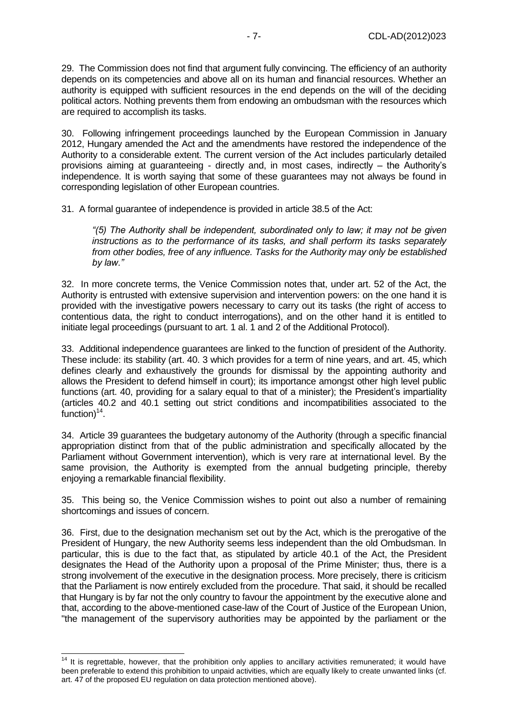29. The Commission does not find that argument fully convincing. The efficiency of an authority depends on its competencies and above all on its human and financial resources. Whether an authority is equipped with sufficient resources in the end depends on the will of the deciding political actors. Nothing prevents them from endowing an ombudsman with the resources which are required to accomplish its tasks.

30. Following infringement proceedings launched by the European Commission in January 2012, Hungary amended the Act and the amendments have restored the independence of the Authority to a considerable extent. The current version of the Act includes particularly detailed provisions aiming at guaranteeing - directly and, in most cases, indirectly – the Authority's independence. It is worth saying that some of these guarantees may not always be found in corresponding legislation of other European countries.

31. A formal guarantee of independence is provided in article 38.5 of the Act:

*"(5) The Authority shall be independent, subordinated only to law; it may not be given instructions as to the performance of its tasks, and shall perform its tasks separately from other bodies, free of any influence. Tasks for the Authority may only be established by law."*

32. In more concrete terms, the Venice Commission notes that, under art. 52 of the Act, the Authority is entrusted with extensive supervision and intervention powers: on the one hand it is provided with the investigative powers necessary to carry out its tasks (the right of access to contentious data, the right to conduct interrogations), and on the other hand it is entitled to initiate legal proceedings (pursuant to art. 1 al. 1 and 2 of the Additional Protocol).

33. Additional independence guarantees are linked to the function of president of the Authority. These include: its stability (art. 40. 3 which provides for a term of nine years, and art. 45, which defines clearly and exhaustively the grounds for dismissal by the appointing authority and allows the President to defend himself in court); its importance amongst other high level public functions (art. 40, providing for a salary equal to that of a minister); the President's impartiality (articles 40.2 and 40.1 setting out strict conditions and incompatibilities associated to the  $function)^{14}$ .

34. Article 39 guarantees the budgetary autonomy of the Authority (through a specific financial appropriation distinct from that of the public administration and specifically allocated by the Parliament without Government intervention), which is very rare at international level. By the same provision, the Authority is exempted from the annual budgeting principle, thereby enjoying a remarkable financial flexibility.

35. This being so, the Venice Commission wishes to point out also a number of remaining shortcomings and issues of concern.

36. First, due to the designation mechanism set out by the Act, which is the prerogative of the President of Hungary, the new Authority seems less independent than the old Ombudsman. In particular, this is due to the fact that, as stipulated by article 40.1 of the Act, the President designates the Head of the Authority upon a proposal of the Prime Minister; thus, there is a strong involvement of the executive in the designation process. More precisely, there is criticism that the Parliament is now entirely excluded from the procedure. That said, it should be recalled that Hungary is by far not the only country to favour the appointment by the executive alone and that, according to the above-mentioned case-law of the Court of Justice of the European Union, "the management of the supervisory authorities may be appointed by the parliament or the

-

 $14$  It is regrettable, however, that the prohibition only applies to ancillary activities remunerated; it would have been preferable to extend this prohibition to unpaid activities, which are equally likely to create unwanted links (cf. art. 47 of the proposed EU regulation on data protection mentioned above).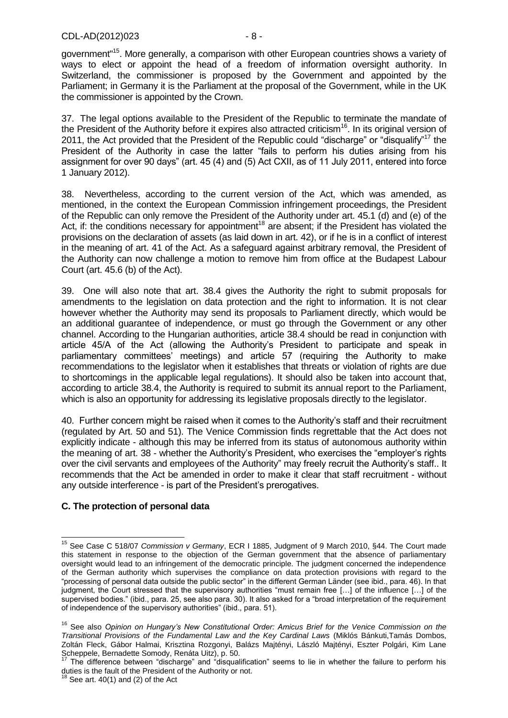government"<sup>15</sup>. More generally, a comparison with other European countries shows a variety of ways to elect or appoint the head of a freedom of information oversight authority. In Switzerland, the commissioner is proposed by the Government and appointed by the Parliament; in Germany it is the Parliament at the proposal of the Government, while in the UK the commissioner is appointed by the Crown.

37. The legal options available to the President of the Republic to terminate the mandate of the President of the Authority before it expires also attracted criticism<sup>16</sup>. In its original version of 2011, the Act provided that the President of the Republic could "discharge" or "disqualify"<sup>17</sup> the President of the Authority in case the latter "fails to perform his duties arising from his assignment for over 90 days" (art. 45 (4) and (5) Act CXII, as of 11 July 2011, entered into force 1 January 2012).

38. Nevertheless, according to the current version of the Act, which was amended, as mentioned, in the context the European Commission infringement proceedings, the President of the Republic can only remove the President of the Authority under art. 45.1 (d) and (e) of the Act, if: the conditions necessary for appointment<sup>18</sup> are absent; if the President has violated the provisions on the declaration of assets (as laid down in art. 42), or if he is in a conflict of interest in the meaning of art. 41 of the Act. As a safeguard against arbitrary removal, the President of the Authority can now challenge a motion to remove him from office at the Budapest Labour Court (art. 45.6 (b) of the Act).

39. One will also note that art. 38.4 gives the Authority the right to submit proposals for amendments to the legislation on data protection and the right to information. It is not clear however whether the Authority may send its proposals to Parliament directly, which would be an additional guarantee of independence, or must go through the Government or any other channel. According to the Hungarian authorities, article 38.4 should be read in conjunction with article 45/A of the Act (allowing the Authority's President to participate and speak in parliamentary committees' meetings) and article 57 (requiring the Authority to make recommendations to the legislator when it establishes that threats or violation of rights are due to shortcomings in the applicable legal regulations). It should also be taken into account that, according to article 38.4, the Authority is required to submit its annual report to the Parliament, which is also an opportunity for addressing its legislative proposals directly to the legislator.

40. Further concern might be raised when it comes to the Authority's staff and their recruitment (regulated by Art. 50 and 51). The Venice Commission finds regrettable that the Act does not explicitly indicate - although this may be inferred from its status of autonomous authority within the meaning of art. 38 - whether the Authority's President, who exercises the "employer's rights over the civil servants and employees of the Authority" may freely recruit the Authority's staff.. It recommends that the Act be amended in order to make it clear that staff recruitment - without any outside interference - is part of the President's prerogatives.

#### <span id="page-7-0"></span>**C. The protection of personal data**

 $\overline{1}$ 

<sup>15</sup> See Case C 518/07 *Commission v Germany*, ECR I 1885, Judgment of 9 March 2010, §44. The Court made this statement in response to the objection of the German government that the absence of parliamentary oversight would lead to an infringement of the democratic principle. The judgment concerned the independence of the German authority which supervises the compliance on data protection provisions with regard to the "processing of personal data outside the public sector" in the different German Länder (see ibid., para. 46). In that judgment, the Court stressed that the supervisory authorities "must remain free […] of the influence […] of the supervised bodies." (ibid., para. 25, see also para. 30). It also asked for a "broad interpretation of the requirement of independence of the supervisory authorities" (ibid., para. 51).

<sup>16</sup> See also *Opinion on Hungary's New Constitutional Order: Amicus Brief for the Venice Commission on the Transitional Provisions of the Fundamental Law and the Key Cardinal Laws* (Miklós Bánkuti,Tamás Dombos, Zoltán Fleck, Gábor Halmai, Krisztina Rozgonyi, Balázs Majtényi, László Majtényi, Eszter Polgári, Kim Lane Scheppele, Bernadette Somody, Renáta Uitz), p. 50.

<sup>17</sup> The difference between "discharge" and "disqualification" seems to lie in whether the failure to perform his duties is the fault of the President of the Authority or not.<br><sup>18</sup> Sec at 1944

See art.  $40(1)$  and  $(2)$  of the Act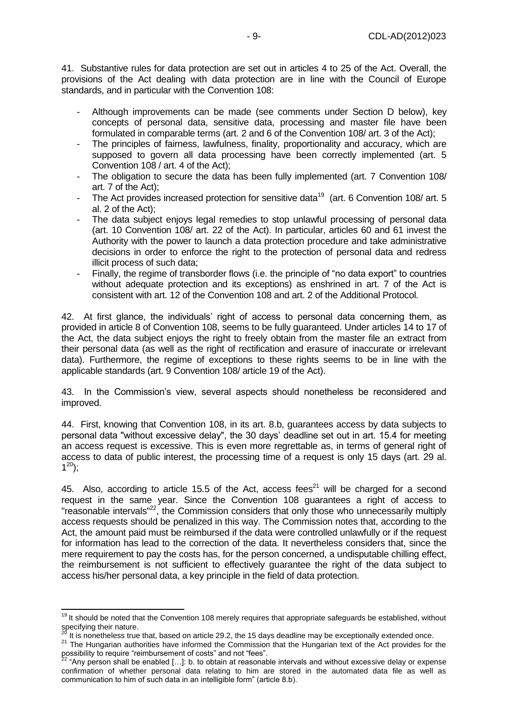41. Substantive rules for data protection are set out in articles 4 to 25 of the Act. Overall, the provisions of the Act dealing with data protection are in line with the Council of Europe standards, and in particular with the Convention 108:

- Although improvements can be made (see comments under Section D below), key concepts of personal data, sensitive data, processing and master file have been formulated in comparable terms (art. 2 and 6 of the Convention 108/ art. 3 of the Act);
- The principles of fairness, lawfulness, finality, proportionality and accuracy, which are supposed to govern all data processing have been correctly implemented (art. 5 Convention 108 / art. 4 of the Act);
- The obligation to secure the data has been fully implemented (art. 7 Convention 108/ art. 7 of the Act);
- The Act provides increased protection for sensitive data<sup>19</sup> (art. 6 Convention 108/ art. 5 al. 2 of the Act);
- The data subject enjoys legal remedies to stop unlawful processing of personal data (art. 10 Convention 108/ art. 22 of the Act). In particular, articles 60 and 61 invest the Authority with the power to launch a data protection procedure and take administrative decisions in order to enforce the right to the protection of personal data and redress illicit process of such data;
- Finally, the regime of transborder flows (i.e. the principle of "no data export" to countries without adequate protection and its exceptions) as enshrined in art. 7 of the Act is consistent with art. 12 of the Convention 108 and art. 2 of the Additional Protocol.

42. At first glance, the individuals' right of access to personal data concerning them, as provided in article 8 of Convention 108, seems to be fully guaranteed. Under articles 14 to 17 of the Act, the data subject enjoys the right to freely obtain from the master file an extract from their personal data (as well as the right of rectification and erasure of inaccurate or irrelevant data). Furthermore, the regime of exceptions to these rights seems to be in line with the applicable standards (art. 9 Convention 108/ article 19 of the Act).

43. In the Commission's view, several aspects should nonetheless be reconsidered and improved.

44. First, knowing that Convention 108, in its art. 8.b, guarantees access by data subjects to personal data "without excessive delay", the 30 days' deadline set out in art. 15.4 for meeting an access request is excessive. This is even more regrettable as, in terms of general right of access to data of public interest, the processing time of a request is only 15 days (art. 29 al.  $1^{20}$ ;

45. Also, according to article 15.5 of the Act, access fees<sup>21</sup> will be charged for a second request in the same year. Since the Convention 108 guarantees a right of access to "reasonable intervals"<sup>22</sup>, the Commission considers that only those who unnecessarily multiply access requests should be penalized in this way. The Commission notes that, according to the Act, the amount paid must be reimbursed if the data were controlled unlawfully or if the request for information has lead to the correction of the data. It nevertheless considers that, since the mere requirement to pay the costs has, for the person concerned, a undisputable chilling effect, the reimbursement is not sufficient to effectively guarantee the right of the data subject to access his/her personal data, a key principle in the field of data protection.

-

 $19$  It should be noted that the Convention 108 merely requires that appropriate safeguards be established, without specifying their nature.

It is nonetheless true that, based on article 29.2, the 15 days deadline may be exceptionally extended once.

<sup>&</sup>lt;sup>21</sup> The Hungarian authorities have informed the Commission that the Hungarian text of the Act provides for the possibility to require "reimbursement of costs" and not "fees".

<sup>22</sup> "Any person shall be enabled […]: b. to obtain at reasonable intervals and without excessive delay or expense confirmation of whether personal data relating to him are stored in the automated data file as well as communication to him of such data in an intelligible form" (article 8.b).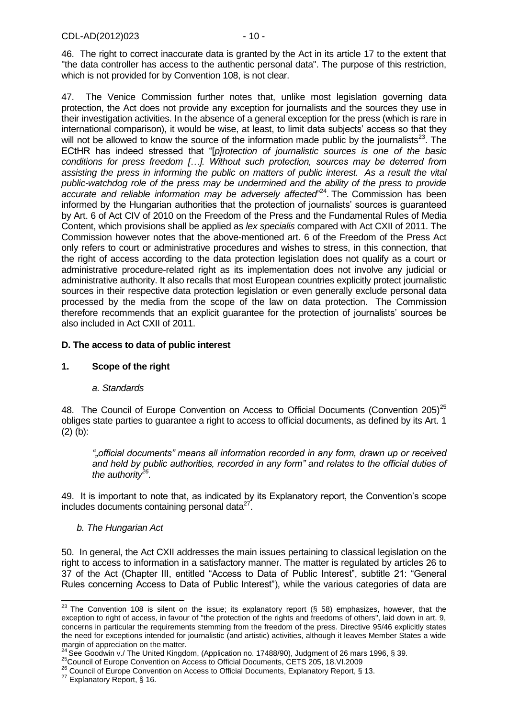46. The right to correct inaccurate data is granted by the Act in its article 17 to the extent that "the data controller has access to the authentic personal data". The purpose of this restriction, which is not provided for by Convention 108, is not clear.

47. The Venice Commission further notes that, unlike most legislation governing data protection, the Act does not provide any exception for journalists and the sources they use in their investigation activities. In the absence of a general exception for the press (which is rare in international comparison), it would be wise, at least, to limit data subjects' access so that they will not be allowed to know the source of the information made public by the journalists<sup>23</sup>. The ECtHR has indeed stressed that "[*p]rotection of journalistic sources is one of the basic conditions for press freedom […]. Without such protection, sources may be deterred from assisting the press in informing the public on matters of public interest. As a result the vital public-watchdog role of the press may be undermined and the ability of the press to provide accurate and reliable information may be adversely affected*" 24 . The Commission has been informed by the Hungarian authorities that the protection of journalists' sources is guaranteed by Art. 6 of Act CIV of 2010 on the Freedom of the Press and the Fundamental Rules of Media Content, which provisions shall be applied as *lex specialis* compared with Act CXII of 2011. The Commission however notes that the above-mentioned art. 6 of the Freedom of the Press Act only refers to court or administrative procedures and wishes to stress, in this connection, that the right of access according to the data protection legislation does not qualify as a court or administrative procedure-related right as its implementation does not involve any judicial or administrative authority. It also recalls that most European countries explicitly protect journalistic sources in their respective data protection legislation or even generally exclude personal data processed by the media from the scope of the law on data protection. The Commission therefore recommends that an explicit guarantee for the protection of journalists' sources be also included in Act CXII of 2011.

## <span id="page-9-0"></span>**D. The access to data of public interest**

#### **1. Scope of the right**

#### *a. Standards*

48. The Council of Europe Convention on Access to Official Documents (Convention 205)<sup>25</sup> obliges state parties to guarantee a right to access to official documents, as defined by its Art. 1  $(2)$  (b):

*""official documents" means all information recorded in any form, drawn up or received and held by public authorities, recorded in any form" and relates to the official duties of the authority<sup>26</sup> .*

49. It is important to note that, as indicated by its Explanatory report, the Convention's scope includes documents containing personal data $27$ .

#### *b. The Hungarian Act*

50. In general, the Act CXII addresses the main issues pertaining to classical legislation on the right to access to information in a satisfactory manner. The matter is regulated by articles 26 to 37 of the Act (Chapter III, entitled "Access to Data of Public Interest", subtitle 21: "General Rules concerning Access to Data of Public Interest"), while the various categories of data are

<sup>-</sup> $^{23}$  The Convention 108 is silent on the issue; its explanatory report (§ 58) emphasizes, however, that the exception to right of access, in favour of "the protection of the rights and freedoms of others", laid down in art. 9, concerns in particular the requirements stemming from the freedom of the press. Directive 95/46 explicitly states the need for exceptions intended for journalistic (and artistic) activities, although it leaves Member States a wide margin of appreciation on the matter.

 $24$  See Goodwin v./ The United Kingdom, (Application no. 17488/90), Judgment of 26 mars 1996, § 39.

<sup>25</sup>Council of Europe Convention on Access to Official Documents, CETS 205, 18.VI.2009

<sup>26</sup> Council of Europe Convention on Access to Official Documents, Explanatory Report, § 13.

<sup>&</sup>lt;sup>27</sup> Explanatory Report, § 16.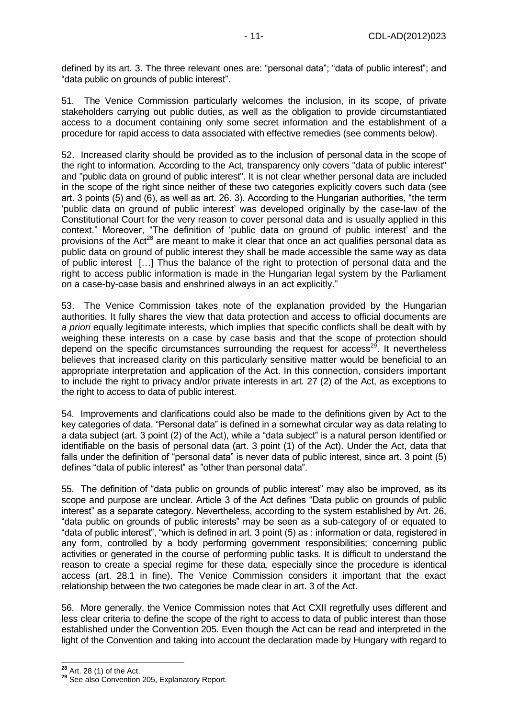defined by its art. 3. The three relevant ones are: "personal data"; "data of public interest"; and "data public on grounds of public interest".

51. The Venice Commission particularly welcomes the inclusion, in its scope, of private stakeholders carrying out public duties, as well as the obligation to provide circumstantiated access to a document containing only some secret information and the establishment of a procedure for rapid access to data associated with effective remedies (see comments below).

52. Increased clarity should be provided as to the inclusion of personal data in the scope of the right to information. According to the Act, transparency only covers "data of public interest" and "public data on ground of public interest". It is not clear whether personal data are included in the scope of the right since neither of these two categories explicitly covers such data (see art. 3 points (5) and (6), as well as art. 26. 3). According to the Hungarian authorities, "the term 'public data on ground of public interest' was developed originally by the case-law of the Constitutional Court for the very reason to cover personal data and is usually applied in this context." Moreover, "The definition of 'public data on ground of public interest' and the provisions of the Act<sup>28</sup> are meant to make it clear that once an act qualifies personal data as public data on ground of public interest they shall be made accessible the same way as data of public interest […] Thus the balance of the right to protection of personal data and the right to access public information is made in the Hungarian legal system by the Parliament on a case-by-case basis and enshrined always in an act explicitly."

53. The Venice Commission takes note of the explanation provided by the Hungarian authorities. It fully shares the view that data protection and access to official documents are *a priori* equally legitimate interests, which implies that specific conflicts shall be dealt with by weighing these interests on a case by case basis and that the scope of protection should depend on the specific circumstances surrounding the request for  $access^{29}$ . It nevertheless believes that increased clarity on this particularly sensitive matter would be beneficial to an appropriate interpretation and application of the Act. In this connection, considers important to include the right to privacy and/or private interests in art. 27 (2) of the Act, as exceptions to the right to access to data of public interest.

54. Improvements and clarifications could also be made to the definitions given by Act to the key categories of data. "Personal data" is defined in a somewhat circular way as data relating to a data subject (art. 3 point (2) of the Act), while a "data subject" is a natural person identified or identifiable on the basis of personal data (art. 3 point (1) of the Act). Under the Act, data that falls under the definition of "personal data" is never data of public interest, since art. 3 point (5) defines "data of public interest" as "other than personal data".

55. The definition of "data public on grounds of public interest" may also be improved, as its scope and purpose are unclear. Article 3 of the Act defines "Data public on grounds of public interest" as a separate category. Nevertheless, according to the system established by Art. 26, "data public on grounds of public interests" may be seen as a sub-category of or equated to "data of public interest", "which is defined in art. 3 point (5) as : information or data, registered in any form, controlled by a body performing government responsibilities; concerning public activities or generated in the course of performing public tasks. It is difficult to understand the reason to create a special regime for these data, especially since the procedure is identical access (art. 28.1 in fine). The Venice Commission considers it important that the exact relationship between the two categories be made clear in art. 3 of the Act.

56. More generally, the Venice Commission notes that Act CXII regretfully uses different and less clear criteria to define the scope of the right to access to data of public interest than those established under the Convention 205. Even though the Act can be read and interpreted in the light of the Convention and taking into account the declaration made by Hungary with regard to

 $\overline{a}$ **<sup>28</sup>** Art. 28 (1) of the Act.

**<sup>29</sup>** See also Convention 205, Explanatory Report.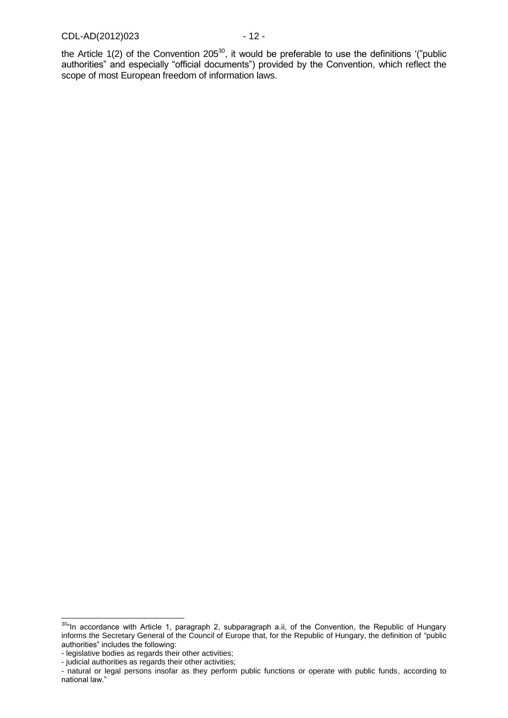the Article  $1(2)$  of the Convention 205<sup>30</sup>, it would be preferable to use the definitions '("public authorities" and especially "official documents") provided by the Convention, which reflect the scope of most European freedom of information laws.

 $\overline{a}$ 

 $30$ "In accordance with Article 1, paragraph 2, subparagraph a.ii, of the Convention, the Republic of Hungary informs the Secretary General of the Council of Europe that, for the Republic of Hungary, the definition of "public authorities" includes the following:

<sup>-</sup> legislative bodies as regards their other activities;

<sup>-</sup> judicial authorities as regards their other activities;

<sup>-</sup> natural or legal persons insofar as they perform public functions or operate with public funds, according to national law."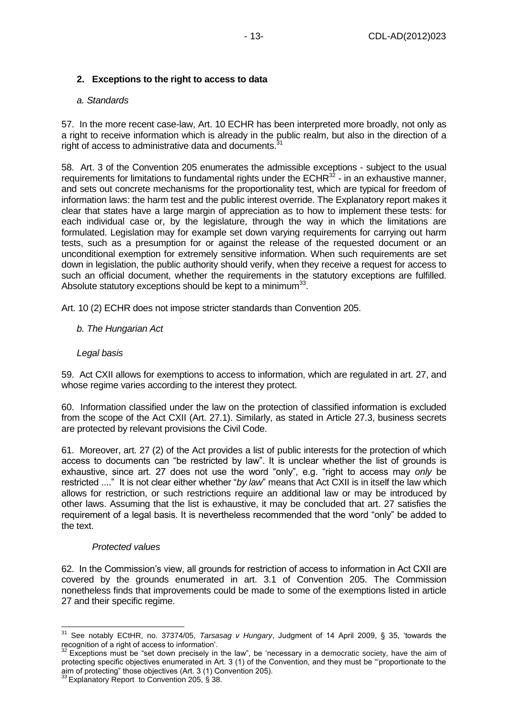## **2. Exceptions to the right to access to data**

#### *a. Standards*

57. In the more recent case-law, Art. 10 ECHR has been interpreted more broadly, not only as a right to receive information which is already in the public realm, but also in the direction of a right of access to administrative data and documents.<sup>3</sup>

58. Art. 3 of the Convention 205 enumerates the admissible exceptions - subject to the usual requirements for limitations to fundamental rights under the ECHR $^{32}$  - in an exhaustive manner, and sets out concrete mechanisms for the proportionality test, which are typical for freedom of information laws: the harm test and the public interest override. The Explanatory report makes it clear that states have a large margin of appreciation as to how to implement these tests: for each individual case or, by the legislature, through the way in which the limitations are formulated. Legislation may for example set down varying requirements for carrying out harm tests, such as a presumption for or against the release of the requested document or an unconditional exemption for extremely sensitive information. When such requirements are set down in legislation, the public authority should verify, when they receive a request for access to such an official document, whether the requirements in the statutory exceptions are fulfilled. Absolute statutory exceptions should be kept to a minimum $^{33}$ .

Art. 10 (2) ECHR does not impose stricter standards than Convention 205.

#### *b. The Hungarian Act*

#### *Legal basis*

59. Act CXII allows for exemptions to access to information, which are regulated in art. 27, and whose regime varies according to the interest they protect.

60. Information classified under the law on the protection of classified information is excluded from the scope of the Act CXII (Art. 27.1). Similarly, as stated in Article 27.3, business secrets are protected by relevant provisions the Civil Code.

61. Moreover, art. 27 (2) of the Act provides a list of public interests for the protection of which access to documents can "be restricted by law". It is unclear whether the list of grounds is exhaustive, since art. 27 does not use the word "only", e.g. "right to access may *only* be restricted ...." It is not clear either whether "*by law*" means that Act CXII is in itself the law which allows for restriction, or such restrictions require an additional law or may be introduced by other laws. Assuming that the list is exhaustive, it may be concluded that art. 27 satisfies the requirement of a legal basis. It is nevertheless recommended that the word "only" be added to the text.

#### *Protected values*

62. In the Commission's view, all grounds for restriction of access to information in Act CXII are covered by the grounds enumerated in art. 3.1 of Convention 205. The Commission nonetheless finds that improvements could be made to some of the exemptions listed in article 27 and their specific regime.

<sup>-</sup><sup>31</sup> See notably ECtHR, no. 37374/05, *Tarsasag v Hungary*, Judgment of 14 April 2009, § 35, 'towards the recognition of a right of access to information'.

<sup>32</sup> Exceptions must be "set down precisely in the law", be 'necessary in a democratic society, have the aim of protecting specific objectives enumerated in Art. 3 (1) of the Convention, and they must be "'proportionate to the aim of protecting" those objectives (Art. 3 (1) Convention 205).

 $33$  Explanatory Report to Convention 205, § 38.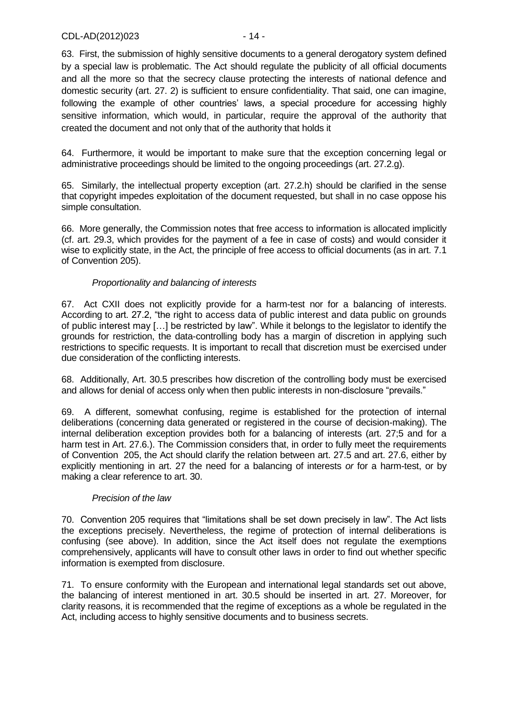63. First, the submission of highly sensitive documents to a general derogatory system defined by a special law is problematic. The Act should regulate the publicity of all official documents and all the more so that the secrecy clause protecting the interests of national defence and domestic security (art. 27. 2) is sufficient to ensure confidentiality. That said, one can imagine, following the example of other countries' laws, a special procedure for accessing highly sensitive information, which would, in particular, require the approval of the authority that created the document and not only that of the authority that holds it

64. Furthermore, it would be important to make sure that the exception concerning legal or administrative proceedings should be limited to the ongoing proceedings (art. 27.2.g).

65. Similarly, the intellectual property exception (art. 27.2.h) should be clarified in the sense that copyright impedes exploitation of the document requested, but shall in no case oppose his simple consultation.

66. More generally, the Commission notes that free access to information is allocated implicitly (cf. art. 29.3, which provides for the payment of a fee in case of costs) and would consider it wise to explicitly state, in the Act, the principle of free access to official documents (as in art. 7.1 of Convention 205).

## *Proportionality and balancing of interests*

67. Act CXII does not explicitly provide for a harm-test nor for a balancing of interests. According to art. 27.2, "the right to access data of public interest and data public on grounds of public interest may […] be restricted by law". While it belongs to the legislator to identify the grounds for restriction, the data-controlling body has a margin of discretion in applying such restrictions to specific requests. It is important to recall that discretion must be exercised under due consideration of the conflicting interests.

68. Additionally, Art. 30.5 prescribes how discretion of the controlling body must be exercised and allows for denial of access only when then public interests in non-disclosure "prevails."

69. A different, somewhat confusing, regime is established for the protection of internal deliberations (concerning data generated or registered in the course of decision-making). The internal deliberation exception provides both for a balancing of interests (art. 27;5 and for a harm test in Art. 27.6.). The Commission considers that, in order to fully meet the requirements of Convention 205, the Act should clarify the relation between art. 27.5 and art. 27.6, either by explicitly mentioning in art. 27 the need for a balancing of interests *or* for a harm-test, or by making a clear reference to art. 30.

#### *Precision of the law*

70. Convention 205 requires that "limitations shall be set down precisely in law". The Act lists the exceptions precisely. Nevertheless, the regime of protection of internal deliberations is confusing (see above). In addition, since the Act itself does not regulate the exemptions comprehensively, applicants will have to consult other laws in order to find out whether specific information is exempted from disclosure.

71. To ensure conformity with the European and international legal standards set out above, the balancing of interest mentioned in art. 30.5 should be inserted in art. 27. Moreover, for clarity reasons, it is recommended that the regime of exceptions as a whole be regulated in the Act, including access to highly sensitive documents and to business secrets.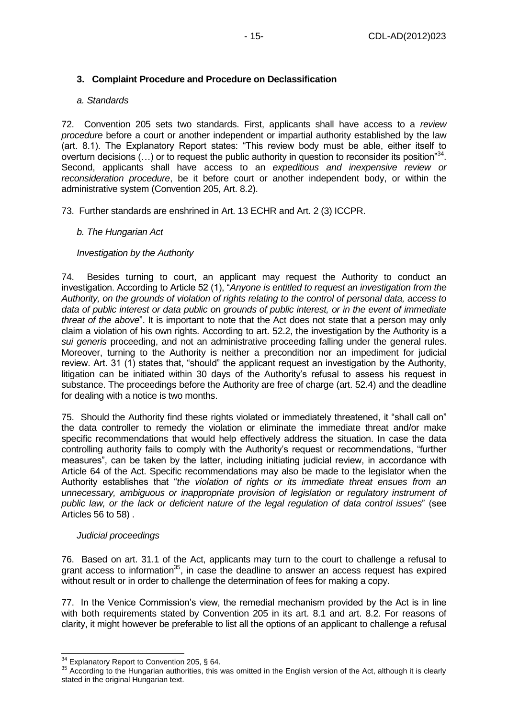## **3. Complaint Procedure and Procedure on Declassification**

#### *a. Standards*

72. Convention 205 sets two standards. First, applicants shall have access to a *review procedure* before a court or another independent or impartial authority established by the law (art. 8.1). The Explanatory Report states: "This review body must be able, either itself to overturn decisions  $(...)$  or to request the public authority in question to reconsider its position<sup>34</sup>. Second, applicants shall have access to an *expeditious and inexpensive review or reconsideration procedure*, be it before court or another independent body, or within the administrative system (Convention 205, Art. 8.2).

73. Further standards are enshrined in Art. 13 ECHR and Art. 2 (3) ICCPR.

#### *b. The Hungarian Act*

#### *Investigation by the Authority*

74. Besides turning to court, an applicant may request the Authority to conduct an investigation. According to Article 52 (1), "*Anyone is entitled to request an investigation from the Authority, on the grounds of violation of rights relating to the control of personal data, access to data of public interest or data public on grounds of public interest, or in the event of immediate threat of the above*". It is important to note that the Act does not state that a person may only claim a violation of his own rights. According to art. 52.2, the investigation by the Authority is a *sui generis* proceeding, and not an administrative proceeding falling under the general rules. Moreover, turning to the Authority is neither a precondition nor an impediment for judicial review. Art. 31 (1) states that, "should" the applicant request an investigation by the Authority, litigation can be initiated within 30 days of the Authority's refusal to assess his request in substance. The proceedings before the Authority are free of charge (art. 52.4) and the deadline for dealing with a notice is two months.

75. Should the Authority find these rights violated or immediately threatened, it "shall call on" the data controller to remedy the violation or eliminate the immediate threat and/or make specific recommendations that would help effectively address the situation. In case the data controlling authority fails to comply with the Authority's request or recommendations, "further measures", can be taken by the latter, including initiating judicial review, in accordance with Article 64 of the Act. Specific recommendations may also be made to the legislator when the Authority establishes that "*the violation of rights or its immediate threat ensues from an unnecessary, ambiguous or inappropriate provision of legislation or regulatory instrument of public law, or the lack or deficient nature of the legal regulation of data control issues*" (see Articles 56 to 58) .

#### *Judicial proceedings*

-

76. Based on art. 31.1 of the Act, applicants may turn to the court to challenge a refusal to grant access to information $35$ , in case the deadline to answer an access request has expired without result or in order to challenge the determination of fees for making a copy.

77. In the Venice Commission's view, the remedial mechanism provided by the Act is in line with both requirements stated by Convention 205 in its art. 8.1 and art. 8.2. For reasons of clarity, it might however be preferable to list all the options of an applicant to challenge a refusal

 $34$  Explanatory Report to Convention 205, § 64.

<sup>&</sup>lt;sup>35</sup> According to the Hungarian authorities, this was omitted in the English version of the Act, although it is clearly stated in the original Hungarian text.